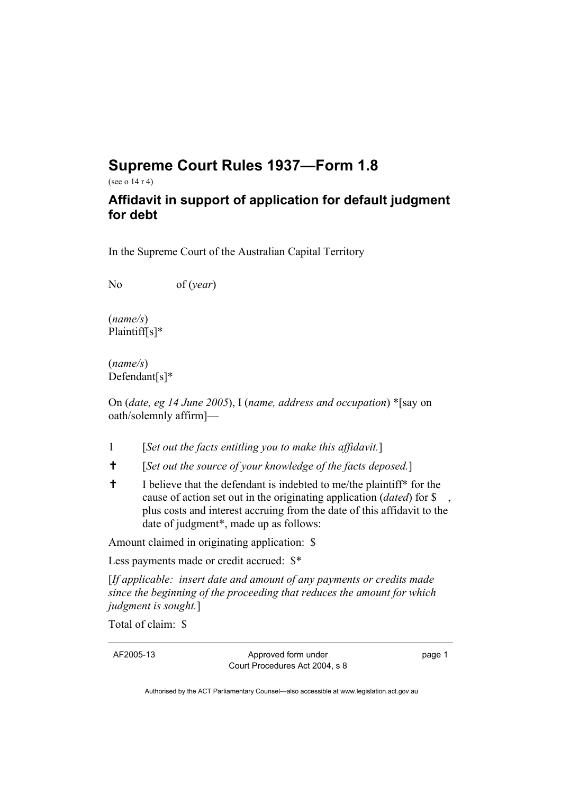## **Supreme Court Rules 1937—Form 1.8**

(see o 14 r 4)

## **Affidavit in support of application for default judgment for debt**

In the Supreme Court of the Australian Capital Territory

No of (*year*)

(*name/s*) Plaintiff[s]\*

(*name/s*) Defendant[s]\*

On (*date, eg 14 June 2005*), I (*name, address and occupation*) \*[say on oath/solemnly affirm]—

- 1 [*Set out the facts entitling you to make this affidavit.*]
- ✝ [*Set out the source of your knowledge of the facts deposed.*]
- ✝ I believe that the defendant is indebted to me/the plaintiff\* for the cause of action set out in the originating application (*dated*) for \$ , plus costs and interest accruing from the date of this affidavit to the date of judgment\*, made up as follows:

Amount claimed in originating application: \$

Less payments made or credit accrued: \$\*

[*If applicable: insert date and amount of any payments or credits made since the beginning of the proceeding that reduces the amount for which judgment is sought.*]

Total of claim: \$

AF2005-13 Approved form under Court Procedures Act 2004, s 8 page 1

Authorised by the ACT Parliamentary Counsel—also accessible at www.legislation.act.gov.au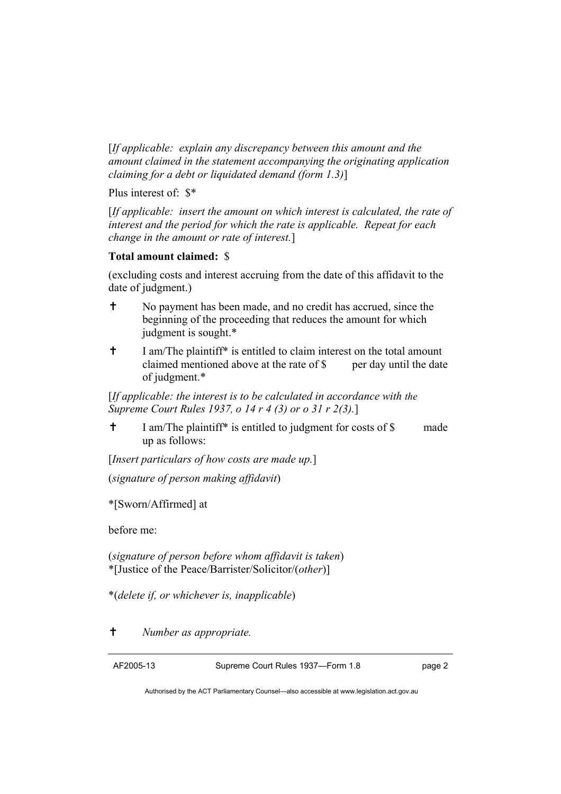[*If applicable: explain any discrepancy between this amount and the amount claimed in the statement accompanying the originating application claiming for a debt or liquidated demand (form 1.3)*]

Plus interest of: \$\*

[*If applicable: insert the amount on which interest is calculated, the rate of interest and the period for which the rate is applicable. Repeat for each change in the amount or rate of interest.*]

## **Total amount claimed:** \$

(excluding costs and interest accruing from the date of this affidavit to the date of judgment.)

- ✝ No payment has been made, and no credit has accrued, since the beginning of the proceeding that reduces the amount for which judgment is sought.\*
- <sup>†</sup> I am/The plaintiff<sup>\*</sup> is entitled to claim interest on the total amount claimed mentioned above at the rate of \$ per day until the date of judgment.\*

[*If applicable: the interest is to be calculated in accordance with the Supreme Court Rules 1937, o 14 r 4 (3) or o 31 r 2(3).*]

✝ I am/The plaintiff\* is entitled to judgment for costs of \$ made up as follows:

[*Insert particulars of how costs are made up.*]

(*signature of person making affidavit*)

\*[Sworn/Affirmed] at

before me:

(*signature of person before whom affidavit is taken*) \*[Justice of the Peace/Barrister/Solicitor/(*other*)]

\*(*delete if, or whichever is, inapplicable*)

✝ *Number as appropriate.* 

AF2005-13 Supreme Court Rules 1937—Form 1.8 page 2

Authorised by the ACT Parliamentary Counsel—also accessible at www.legislation.act.gov.au